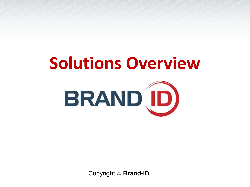# **Solutions Overview**



Copyright © **Brand-ID**.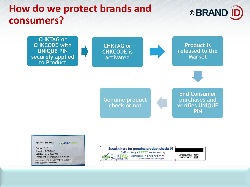## **How do we protect brands and <br>
<b>C**BRAND ID **consumers?**

**CHKTAG or CHKCODE with UNIQUE PIN securely applied to Product**



**Product is released to the Market**

**Genuine product check or not**

**End Consumer purchases and verifies UNIQUE PIN**

Species: Zea-Mays **SCHKCODE** Status: C1G Sampled: DEC 2016 Lot No.: 16-16-2023-1HHP **Treatment: PROTREAT & MAXIM** SMS UNIQUE PIN to 22776 TO VERIFY PIN: 0250069798631865

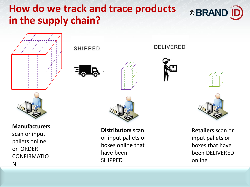## **How do we track and trace products <br>
<b>EXAMPLE PRAND ID in the supply chain?**



**SHIPPED** 







**Distributors** scan or input pallets or boxes online that have been SHIPPED

**DELIVERED** 





**Retailers** scan or input pallets or boxes that have been DELIVERED online



**Manufacturers** 

scan or input pallets online on ORDER CONFIRMATIO N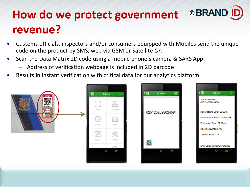# **How do we protect government ©BRAND revenue?**

- Customs officials, inspectors and/or consumers equipped with Mobiles send the unique code on the product by SMS, web via GSM or Satellite *Or:*
- Scan the Data Matrix 2D code using a mobile phone's camera & SARS App
	- Address of verification webpage is included in 2D barcode
- Results in instant verification with critical data for our analytics platform.

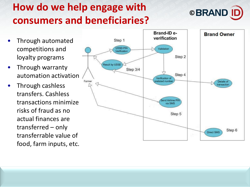# **How do we help engage with consumers and beneficiaries?**



- Through automated competitions and loyalty programs
- Through warranty automation activation
- Through cashless transfers. Cashless transactions minimize risks of fraud as no actual finances are transferred – only transferrable value of food, farm inputs, etc.

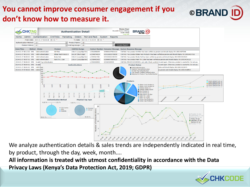### **You cannot improve consumer engagement if you don't know how to measure it.**



We analyze authentication details & sales trends are independently indicated in real time, by product, through the day, week, month….

**All information is treated with utmost confidentiality in accordance with the Data Privacy Laws (Kenya's Data Protection Act, 2019; GDPR)**



**©**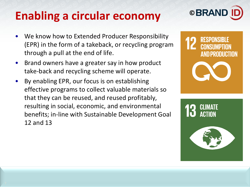# **© Enabling a circular economy**

- We know how to Extended Producer Responsibility (EPR) in the form of a takeback, or recycling program through a pull at the end of life.
- Brand owners have a greater say in how product take-back and recycling scheme will operate.
- By enabling EPR, our focus is on establishing effective programs to collect valuable materials so that they can be reused, and reused profitably, resulting in social, economic, and environmental benefits; in-line with Sustainable Development Goal 12 and 13



**AND PRODUCTION**